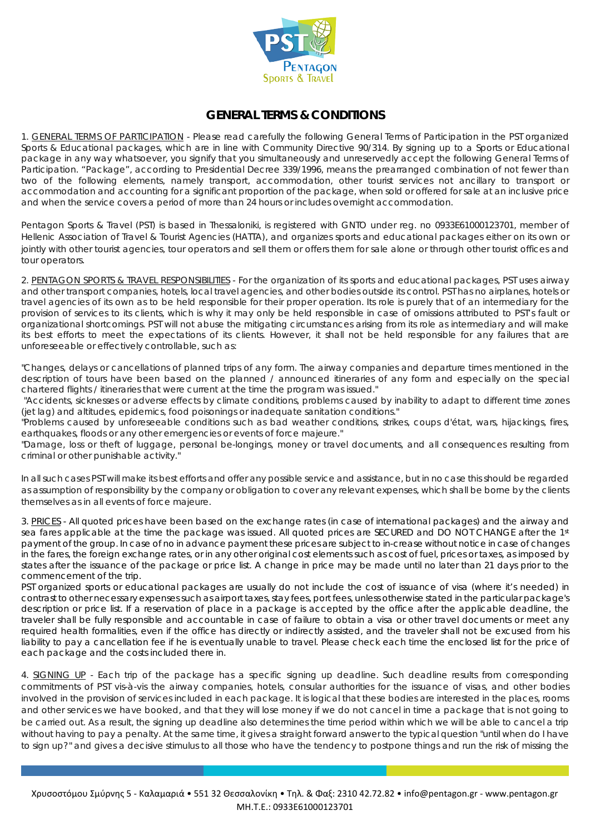

## **GENERAL TERMS & CONDITIONS**

1. GENERAL TERMS OF PARTICIPATION - Please read carefully the following General Terms of Participation in the PST organized Sports & Educational packages, which are in line with Community Directive 90/314. By signing up to a Sports or Educational package in any way whatsoever, you signify that you simultaneously and unreservedly accept the following General Terms of Participation. "Package", according to Presidential Decree 339/1996, means the prearranged combination of not fewer than two of the following elements, namely transport, accommodation, other tourist services not ancillary to transport or accommodation and accounting for a significant proportion of the package, when sold or offered for sale at an inclusive price and when the service covers a period of more than 24 hours or includes overnight accommodation.

Pentagon Sports & Travel (PST) is based in Thessaloniki, is registered with GNTO under reg. no 0933E61000123701, member of Hellenic Association of Travel & Tourist Agencies (HATTA), and organizes sports and educational packages either on its own or jointly with other tourist agencies, tour operators and sell them or offers them for sale alone or through other tourist offices and tour operators.

2. PENTAGON SPORTS & TRAVEL RESPONSIBILITIES - For the organization of its sports and educational packages, PST uses airway and other transport companies, hotels, local travel agencies, and other bodies outside its control. PST has no airplanes, hotels or travel agencies of its own as to be held responsible for their proper operation. Its role is purely that of an intermediary for the provision of services to its clients, which is why it may only be held responsible in case of omissions attributed to PST's fault or organizational shortcomings. PST will not abuse the mitigating circumstances arising from its role as intermediary and will make its best efforts to meet the expectations of its clients. However, it shall not be held responsible for any failures that are unforeseeable or effectively controllable, such as:

*"Changes, delays or cancellations of planned trips of any form. The airway companies and departure times mentioned in the description of tours have been based on the planned / announced itineraries of any form and especially on the special chartered flights / itineraries that were current at the time the program was issued."*

*"Accidents, sicknesses or adverse effects by climate conditions, problems caused by inability to adapt to different time zones (jet lag) and altitudes, epidemics, food poisonings or inadequate sanitation conditions."* 

*"Problems caused by unforeseeable conditions such as bad weather conditions, strikes, coups d'état, wars, hijackings, fires, earthquakes, floods or any other emergencies or events of force majeure."* 

*"Damage, loss or theft of luggage, personal be-longings, money or travel documents, and all consequences resulting from criminal or other punishable activity."* 

In all such cases PST will make its best efforts and offer any possible service and assistance, but in no case this should be regarded as assumption of responsibility by the company or obligation to cover any relevant expenses, which shall be borne by the clients themselves as in all events of force majeure.

3. PRICES - All quoted prices have been based on the exchange rates (in case of international packages) and the airway and sea fares applicable at the time the package was issued. All quoted prices are SECURED and DO NOT CHANGE after the 1st payment of the group. In case of no in advance payment these prices are subject to in-crease without notice in case of changes in the fares, the foreign exchange rates, or in any other original cost elements such as cost of fuel, prices or taxes, as imposed by states after the issuance of the package or price list. A change in price may be made until no later than 21 days prior to the commencement of the trip.

PST organized sports or educational packages are usually do not include the cost of issuance of visa (where it's needed) in contrast to other necessary expenses such as airport taxes, stay fees, port fees, unless otherwise stated in the particular package's description or price list. If a reservation of place in a package is accepted by the office after the applicable deadline, the traveler shall be fully responsible and accountable in case of failure to obtain a visa or other travel documents or meet any required health formalities, even if the office has directly or indirectly assisted, and the traveler shall not be excused from his liability to pay a cancellation fee if he is eventually unable to travel. Please check each time the enclosed list for the price of each package and the costs included there in.

4. SIGNING UP - Each trip of the package has a specific signing up deadline. Such deadline results from corresponding commitments of PST vis-à-vis the airway companies, hotels, consular authorities for the issuance of visas, and other bodies involved in the provision of services included in each package. It is logical that these bodies are interested in the places, rooms and other services we have booked, and that they will lose money if we do not cancel in time a package that is not going to be carried out. As a result, the signing up deadline also determines the time period within which we will be able to cancel a trip without having to pay a penalty. At the same time, it gives a straight forward answer to the typical question "until when do I have to sign up?" and gives a decisive stimulus to all those who have the tendency to postpone things and run the risk of missing the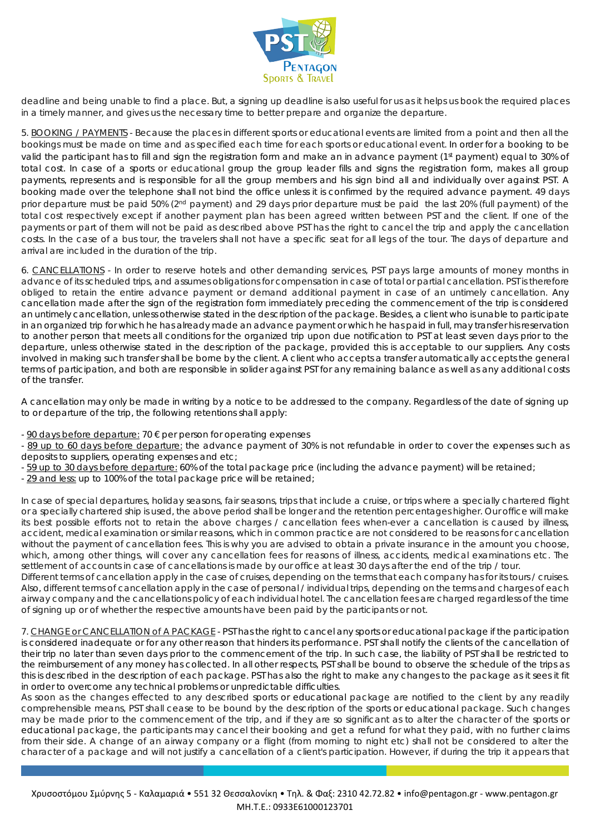

deadline and being unable to find a place. But, a signing up deadline is also useful for us as it helps us book the required places in a timely manner, and gives us the necessary time to better prepare and organize the departure.

5. BOOKING / PAYMENTS - Because the places in different sports or educational events are limited from a point and then all the bookings must be made on time and as specified each time for each sports or educational event. In order for a booking to be valid the participant has to fill and sign the registration form and make an in advance payment (1st payment) equal to 30% of total cost. In case of a sports or educational group the group leader fills and signs the registration form, makes all group payments, represents and is responsible for all the group members and his sign bind all and individually over against PST. A booking made over the telephone shall not bind the office unless it is confirmed by the required advance payment. 49 days prior departure must be paid 50% (2<sup>nd</sup> payment) and 29 days prior departure must be paid the last 20% (full payment) of the total cost respectively except if another payment plan has been agreed written between PST and the client. If one of the payments or part of them will not be paid as described above PST has the right to cancel the trip and apply the cancellation costs. In the case of a bus tour, the travelers shall not have a specific seat for all legs of the tour. The days of departure and arrival are included in the duration of the trip.

6. CANCELLATIONS - In order to reserve hotels and other demanding services, PST pays large amounts of money months in advance of its scheduled trips, and assumes obligations for compensation in case of total or partial cancellation. PST is therefore obliged to retain the entire advance payment or demand additional payment in case of an untimely cancellation. Any cancellation made after the sign of the registration form immediately preceding the commencement of the trip is considered an untimely cancellation, unless otherwise stated in the description of the package. Besides, a client who is unable to participate in an organized trip for which he has already made an advance payment or which he has paid in full, may transfer his reservation to another person that meets all conditions for the organized trip upon due notification to PST at least seven days prior to the departure, unless otherwise stated in the description of the package, provided this is acceptable to our suppliers. Any costs involved in making such transfer shall be borne by the client. A client who accepts a transfer automatically accepts the general terms of participation, and both are responsible in solider against PST for any remaining balance as well as any additional costs of the transfer.

A cancellation may only be made in writing by a notice to be addressed to the company. Regardless of the date of signing up to or departure of the trip, the following retentions shall apply:

 $-90$  days before departure: 70  $\epsilon$  per person for operating expenses

- 89 up to 60 days before departure: the advance payment of 30% is not refundable in order to cover the expenses such as deposits to suppliers, operating expenses and etc;

- 59 up to 30 days before departure: 60% of the total package price (including the advance payment) will be retained;

29 and less: up to 100% of the total package price will be retained;

In case of special departures, holiday seasons, fair seasons, trips that include a cruise, or trips where a specially chartered flight or a specially chartered ship is used, the above period shall be longer and the retention percentages higher. Our office will make its best possible efforts not to retain the above charges / cancellation fees when-ever a cancellation is caused by illness, accident, medical examination or similar reasons, which in common practice are not considered to be reasons for cancellation without the payment of cancellation fees. This is why you are advised to obtain a private insurance in the amount you choose, which, among other things, will cover any cancellation fees for reasons of illness, accidents, medical examinations etc. The settlement of accounts in case of cancellations is made by our office at least 30 days after the end of the trip / tour.

Different terms of cancellation apply in the case of cruises, depending on the terms that each company has for its tours / cruises. Also, different terms of cancellation apply in the case of personal / individual trips, depending on the terms and charges of each airway company and the cancellations policy of each individual hotel. The cancellation fees are charged regardless of the time of signing up or of whether the respective amounts have been paid by the participants or not.

7. CHANGE or CANCELLATION of A PACKAGE - PST has the right to cancel any sports or educational package if the participation is considered inadequate or for any other reason that hinders its performance. PST shall notify the clients of the cancellation of their trip no later than seven days prior to the commencement of the trip. In such case, the liability of PST shall be restricted to the reimbursement of any money has collected. In all other respects, PST shall be bound to observe the schedule of the trips as this is described in the description of each package. PST has also the right to make any changes to the package as it sees it fit in order to overcome any technical problems or unpredictable difficulties.

As soon as the changes effected to any described sports or educational package are notified to the client by any readily comprehensible means, PST shall cease to be bound by the description of the sports or educational package. Such changes may be made prior to the commencement of the trip, and if they are so significant as to alter the character of the sports or educational package, the participants may cancel their booking and get a refund for what they paid, with no further claims from their side. A change of an airway company or a flight (from morning to night etc) shall not be considered to alter the character of a package and will not justify a cancellation of a client's participation. However, if during the trip it appears that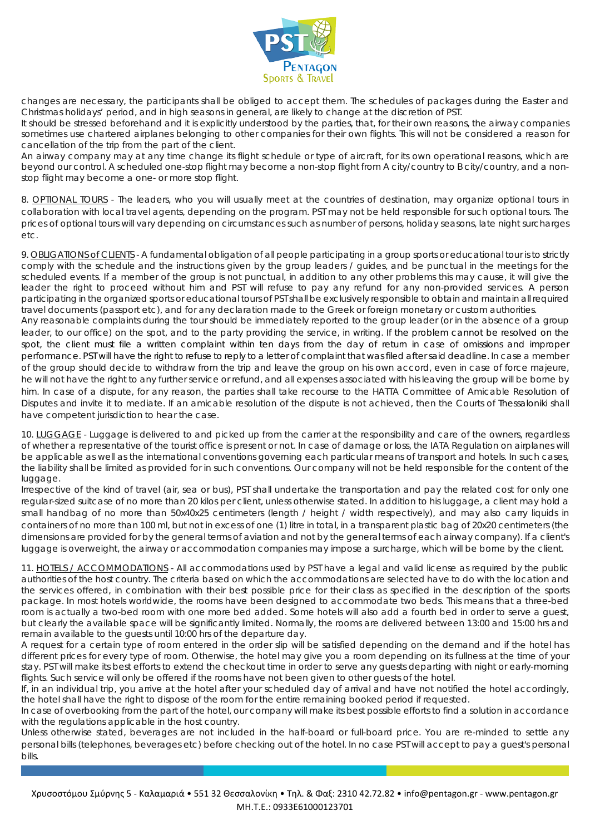

changes are necessary, the participants shall be obliged to accept them. The schedules of packages during the Easter and Christmas holidays' period, and in high seasons in general, are likely to change at the discretion of PST.

It should be stressed beforehand and it is explicitly understood by the parties, that, for their own reasons, the airway companies sometimes use chartered airplanes belonging to other companies for their own flights. This will not be considered a reason for cancellation of the trip from the part of the client.

An airway company may at any time change its flight schedule or type of aircraft, for its own operational reasons, which are beyond our control. A scheduled one-stop flight may become a non-stop flight from A city/country to B city/country, and a nonstop flight may become a one- or more stop flight.

8. OPTIONAL TOURS - The leaders, who you will usually meet at the countries of destination, may organize optional tours in collaboration with local travel agents, depending on the program. PST may not be held responsible for such optional tours. The prices of optional tours will vary depending on circumstances such as number of persons, holiday seasons, late night surcharges etc.

9. OBLIGATIONS of CLIENTS - A fundamental obligation of all people participating in a group sports or educational tour is to strictly comply with the schedule and the instructions given by the group leaders / guides, and be punctual in the meetings for the scheduled events. If a member of the group is not punctual, in addition to any other problems this may cause, it will give the leader the right to proceed without him and PST will refuse to pay any refund for any non-provided services. A person participating in the organized sports or educational tours of PST shall be exclusively responsible to obtain and maintain all required travel documents (passport etc), and for any declaration made to the Greek or foreign monetary or custom authorities.

Any reasonable complaints during the tour should be immediately reported to the group leader (or in the absence of a group leader, to our office) on the spot, and to the party providing the service, in writing. If the problem cannot be resolved on the spot, the client must file a written complaint within ten days from the day of return in case of omissions and improper performance. PST will have the right to refuse to reply to a letter of complaint that was filed after said deadline. In case a member of the group should decide to withdraw from the trip and leave the group on his own accord, even in case of force majeure, he will not have the right to any further service or refund, and all expenses associated with his leaving the group will be borne by him. In case of a dispute, for any reason, the parties shall take recourse to the HATTA Committee of Amicable Resolution of Disputes and invite it to mediate. If an amicable resolution of the dispute is not achieved, then the Courts of Thessaloniki shall have competent jurisdiction to hear the case.

10. LUGGAGE - Luggage is delivered to and picked up from the carrier at the responsibility and care of the owners, regardless of whether a representative of the tourist office is present or not. In case of damage or loss, the IATA Regulation on airplanes will be applicable as well as the international conventions governing each particular means of transport and hotels. In such cases, the liability shall be limited as provided for in such conventions. Our company will not be held responsible for the content of the luggage.

Irrespective of the kind of travel (air, sea or bus), PST shall undertake the transportation and pay the related cost for only one regular-sized suitcase of no more than 20 kilos per client, unless otherwise stated. In addition to his luggage, a client may hold a small handbag of no more than 50x40x25 centimeters (length / height / width respectively), and may also carry liquids in containers of no more than 100 ml, but not in excess of one (1) litre in total, in a transparent plastic bag of 20x20 centimeters (the dimensions are provided for by the general terms of aviation and not by the general terms of each airway company). If a client's luggage is overweight, the airway or accommodation companies may impose a surcharge, which will be borne by the client.

11. HOTELS / ACCOMMODATIONS - All accommodations used by PST have a legal and valid license as required by the public authorities of the host country. The criteria based on which the accommodations are selected have to do with the location and the services offered, in combination with their best possible price for their class as specified in the description of the sports package. In most hotels worldwide, the rooms have been designed to accommodate two beds. This means that a three-bed room is actually a two-bed room with one more bed added. Some hotels will also add a fourth bed in order to serve a guest, but clearly the available space will be significantly limited. Normally, the rooms are delivered between 13:00 and 15:00 hrs and remain available to the guests until 10:00 hrs of the departure day.

A request for a certain type of room entered in the order slip will be satisfied depending on the demand and if the hotel has different prices for every type of room. Otherwise, the hotel may give you a room depending on its fullness at the time of your stay. PST will make its best efforts to extend the checkout time in order to serve any guests departing with night or early-morning flights. Such service will only be offered if the rooms have not been given to other guests of the hotel.

If, in an individual trip, you arrive at the hotel after your scheduled day of arrival and have not notified the hotel accordingly, the hotel shall have the right to dispose of the room for the entire remaining booked period if requested.

In case of overbooking from the part of the hotel, our company will make its best possible efforts to find a solution in accordance with the regulations applicable in the host country.

Unless otherwise stated, beverages are not included in the half-board or full-board price. You are re-minded to settle any personal bills (telephones, beverages etc) before checking out of the hotel. In no case PST will accept to pay a guest's personal bills.